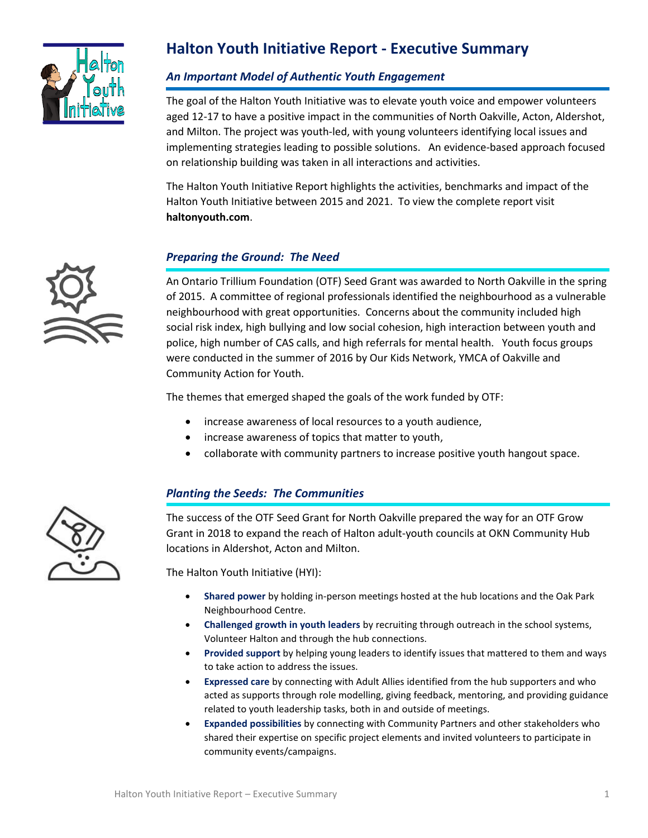

# **Halton Youth Initiative Report - Executive Summary**

#### *An Important Model of Authentic Youth Engagement*

The goal of the Halton Youth Initiative was to elevate youth voice and empower volunteers aged 12-17 to have a positive impact in the communities of North Oakville, Acton, Aldershot, and Milton. The project was youth-led, with young volunteers identifying local issues and implementing strategies leading to possible solutions. An evidence-based approach focused on relationship building was taken in all interactions and activities.

The Halton Youth Initiative Report highlights the activities, benchmarks and impact of the Halton Youth Initiative between 2015 and 2021. To view the complete report visit **haltonyouth.com**.

#### *Preparing the Ground: The Need*

An Ontario Trillium Foundation (OTF) Seed Grant was awarded to North Oakville in the spring of 2015. A committee of regional professionals identified the neighbourhood as a vulnerable neighbourhood with great opportunities. Concerns about the community included high social risk index, high bullying and low social cohesion, high interaction between youth and police, high number of CAS calls, and high referrals for mental health. Youth focus groups were conducted in the summer of 2016 by Our Kids Network, YMCA of Oakville and Community Action for Youth.

The themes that emerged shaped the goals of the work funded by OTF:

- increase awareness of local resources to a youth audience,
- increase awareness of topics that matter to youth,
- collaborate with community partners to increase positive youth hangout space.

#### *Planting the Seeds: The Communities*

The success of the OTF Seed Grant for North Oakville prepared the way for an OTF Grow Grant in 2018 to expand the reach of Halton adult-youth councils at OKN Community Hub locations in Aldershot, Acton and Milton.

The Halton Youth Initiative (HYI):

- **Shared power** by holding in-person meetings hosted at the hub locations and the Oak Park Neighbourhood Centre.
- **Challenged growth in youth leaders** by recruiting through outreach in the school systems, Volunteer Halton and through the hub connections.
- **Provided support** by helping young leaders to identify issues that mattered to them and ways to take action to address the issues.
- **Expressed care** by connecting with Adult Allies identified from the hub supporters and who acted as supports through role modelling, giving feedback, mentoring, and providing guidance related to youth leadership tasks, both in and outside of meetings.
- **Expanded possibilities** by connecting with Community Partners and other stakeholders who shared their expertise on specific project elements and invited volunteers to participate in community events/campaigns.



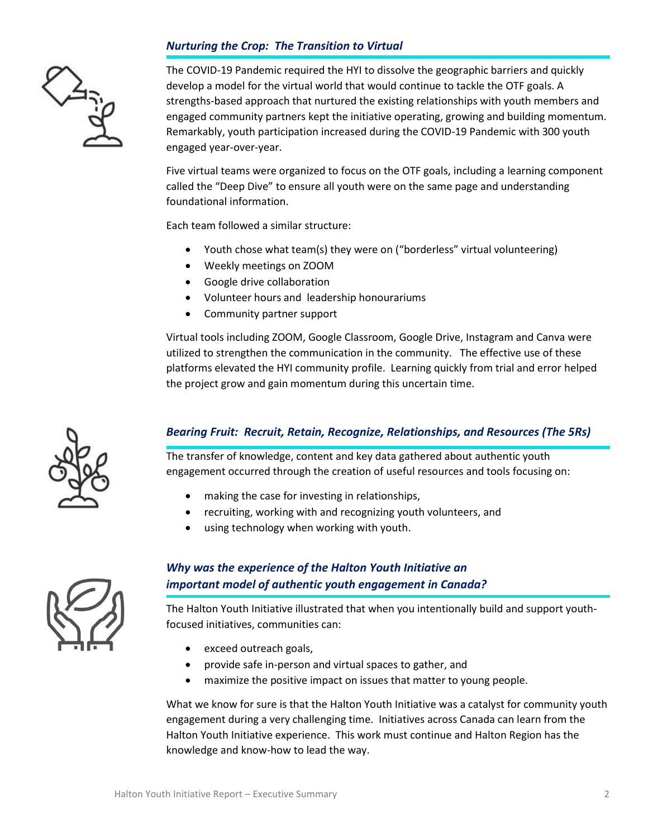## *Nurturing the Crop: The Transition to Virtual*



The COVID-19 Pandemic required the HYI to dissolve the geographic barriers and quickly develop a model for the virtual world that would continue to tackle the OTF goals. A strengths-based approach that nurtured the existing relationships with youth members and engaged community partners kept the initiative operating, growing and building momentum. Remarkably, youth participation increased during the COVID-19 Pandemic with 300 youth engaged year-over-year.

Five virtual teams were organized to focus on the OTF goals, including a learning component called the "Deep Dive" to ensure all youth were on the same page and understanding foundational information.

Each team followed a similar structure:

- Youth chose what team(s) they were on ("borderless" virtual volunteering)
- Weekly meetings on ZOOM
- Google drive collaboration
- Volunteer hours and leadership honourariums
- Community partner support

Virtual tools including ZOOM, Google Classroom, Google Drive, Instagram and Canva were utilized to strengthen the communication in the community. The effective use of these platforms elevated the HYI community profile. Learning quickly from trial and error helped the project grow and gain momentum during this uncertain time.

#### *Bearing Fruit: Recruit, Retain, Recognize, Relationships, and Resources (The 5Rs)*

The transfer of knowledge, content and key data gathered about authentic youth engagement occurred through the creation of useful resources and tools focusing on:

- making the case for investing in relationships,
- recruiting, working with and recognizing youth volunteers, and
- using technology when working with youth.



### *Why was the experience of the Halton Youth Initiative an important model of authentic youth engagement in Canada?*

The Halton Youth Initiative illustrated that when you intentionally build and support youthfocused initiatives, communities can:

- exceed outreach goals,
- provide safe in-person and virtual spaces to gather, and
- maximize the positive impact on issues that matter to young people.

What we know for sure is that the Halton Youth Initiative was a catalyst for community youth engagement during a very challenging time. Initiatives across Canada can learn from the Halton Youth Initiative experience. This work must continue and Halton Region has the knowledge and know-how to lead the way.